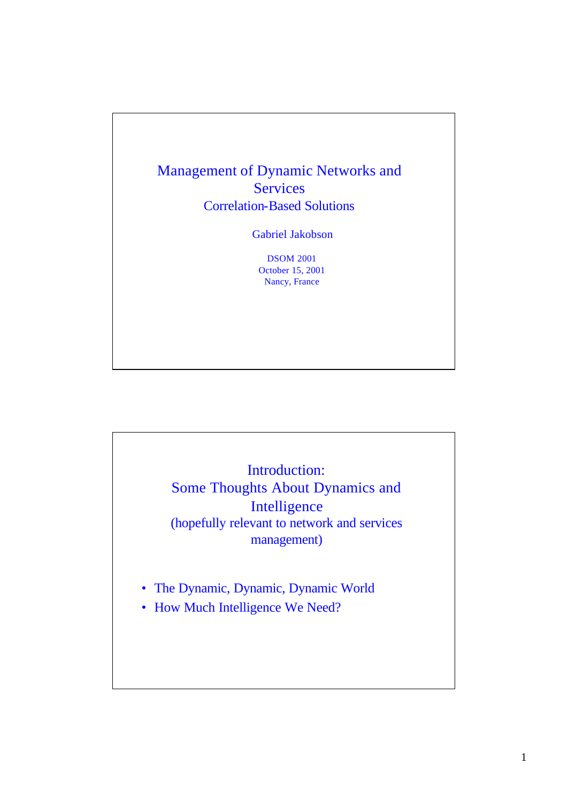

Introduction: Some Thoughts About Dynamics and Intelligence (hopefully relevant to network and services management)

- The Dynamic, Dynamic, Dynamic World
- How Much Intelligence We Need?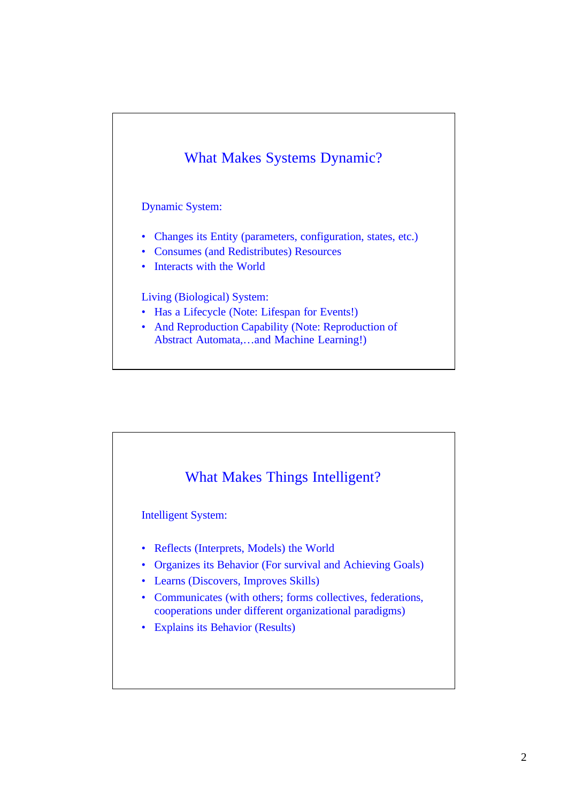

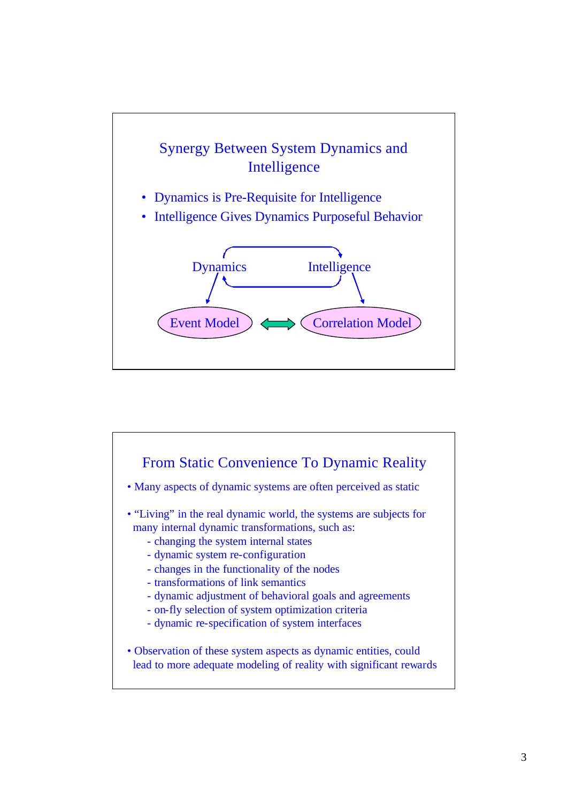

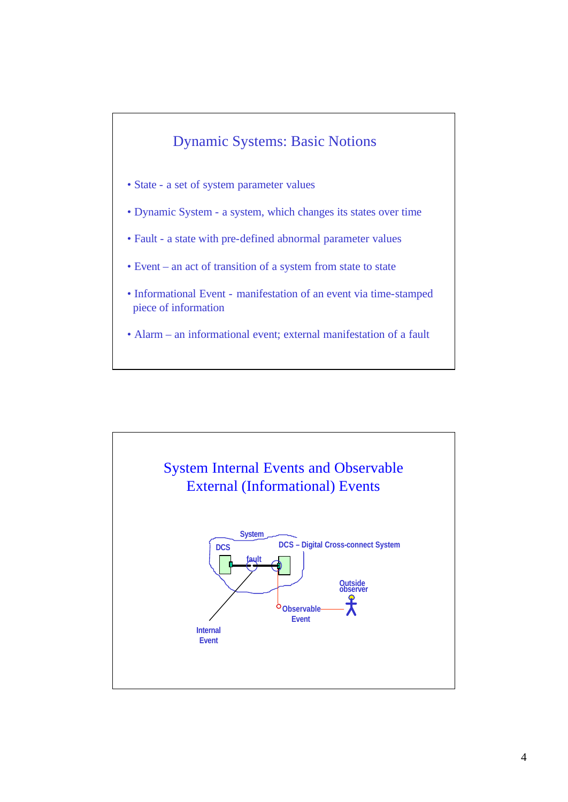

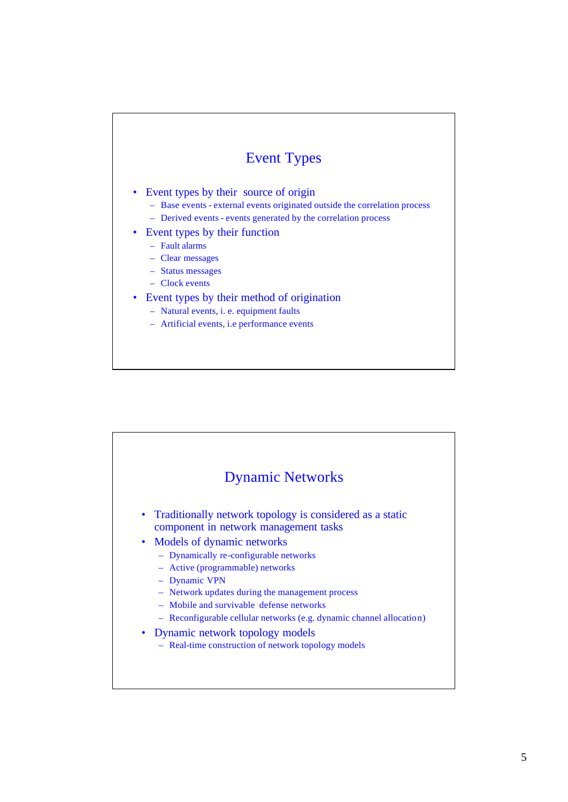### Event Types

- Event types by their source of origin
	- Base events external events originated outside the correlation process
	- Derived events events generated by the correlation process
- Event types by their function
	- Fault alarms
	- Clear messages
	- Status messages
	- Clock events

#### • Event types by their method of origination

- Natural events, i. e. equipment faults
- Artificial events, i.e performance events

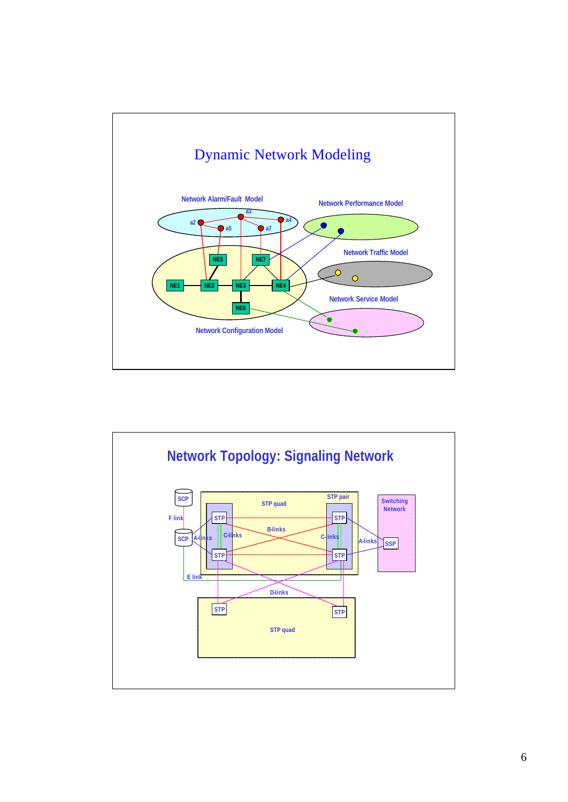

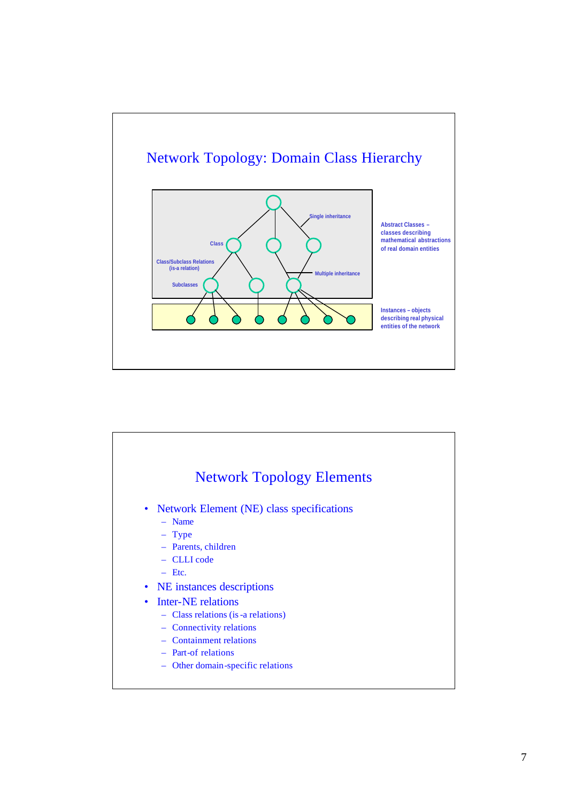

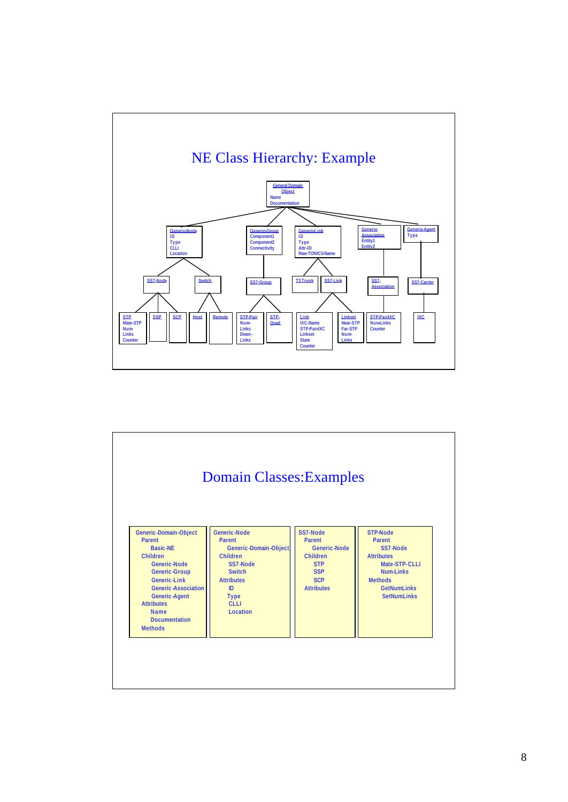

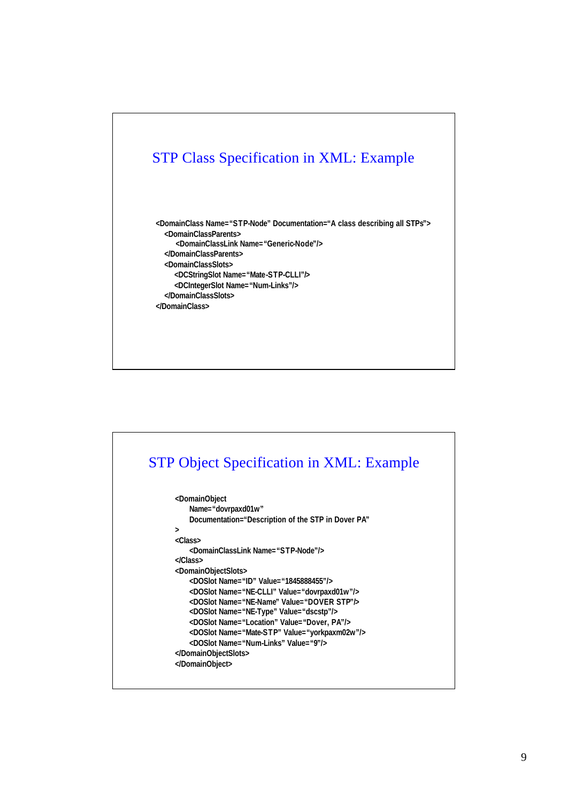

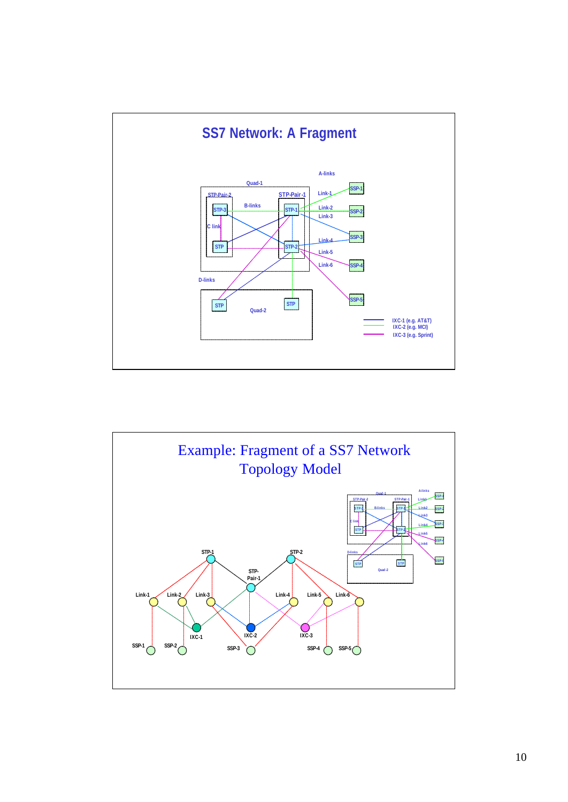

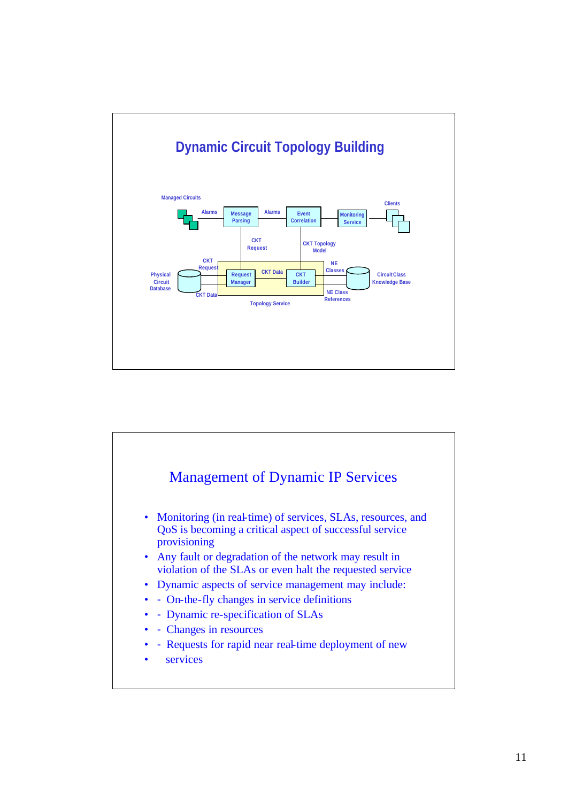

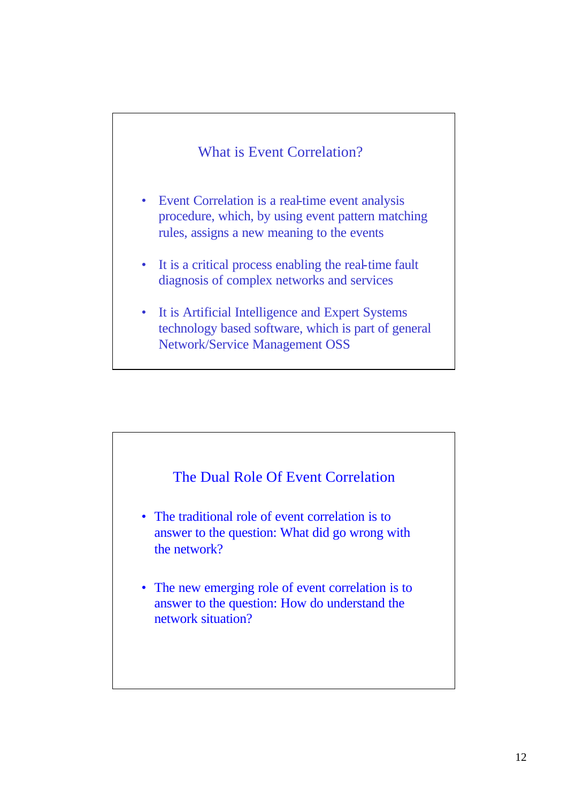#### What is Event Correlation?

- Event Correlation is a real-time event analysis procedure, which, by using event pattern matching rules, assigns a new meaning to the events
- It is a critical process enabling the real-time fault diagnosis of complex networks and services
- It is Artificial Intelligence and Expert Systems technology based software, which is part of general Network/Service Management OSS

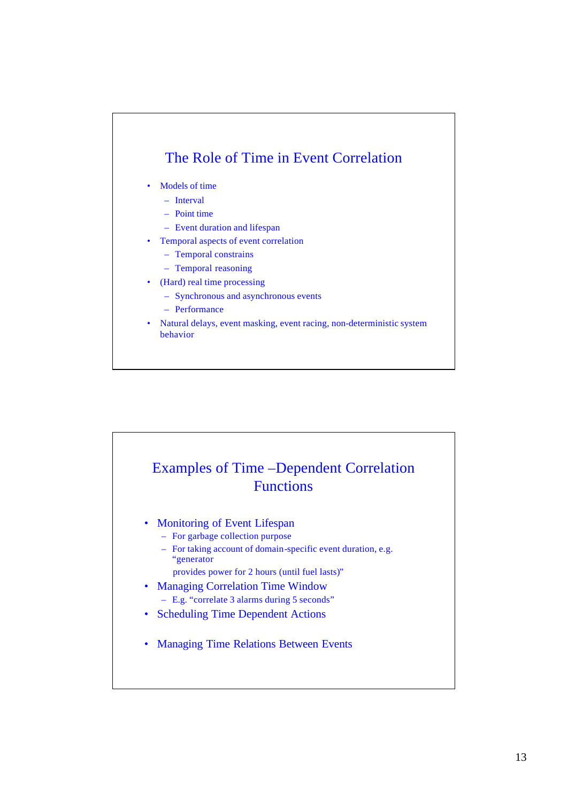## The Role of Time in Event Correlation

- Models of time
	- Interval
	- Point time
	- Event duration and lifespan
- Temporal aspects of event correlation
	- Temporal constrains
	- Temporal reasoning
- (Hard) real time processing
	- Synchronous and asynchronous events
	- Performance
- Natural delays, event masking, event racing, non-deterministic system behavior

# Examples of Time –Dependent Correlation **Functions**

- Monitoring of Event Lifespan
	- For garbage collection purpose
	- For taking account of domain-specific event duration, e.g. "generator
		- provides power for 2 hours (until fuel lasts)"
- Managing Correlation Time Window – E.g. "correlate 3 alarms during 5 seconds"
- Scheduling Time Dependent Actions
- Managing Time Relations Between Events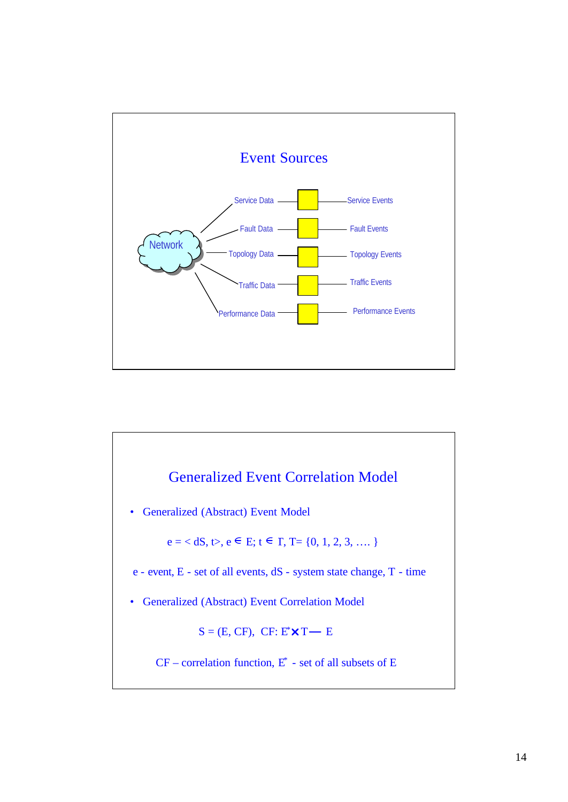

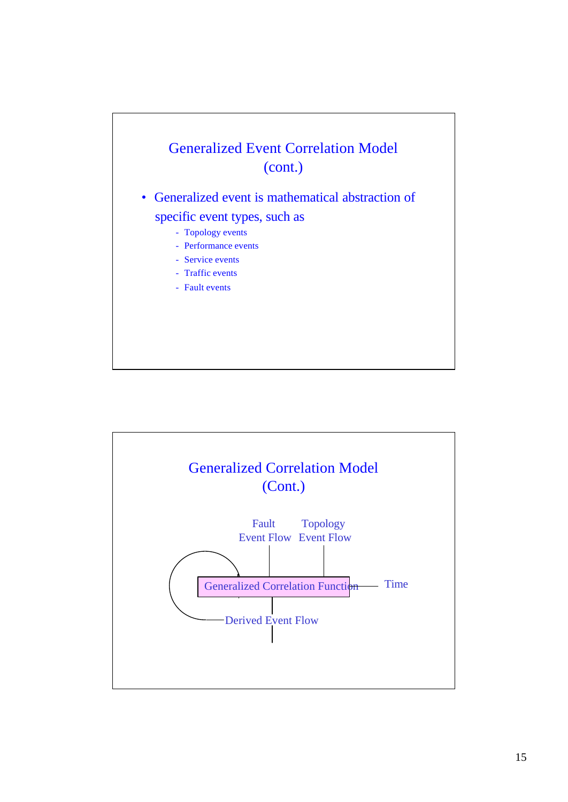

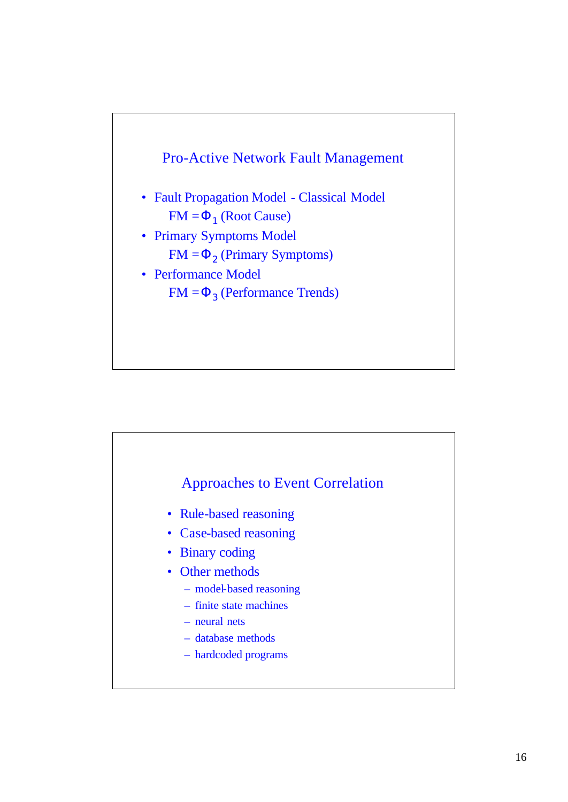

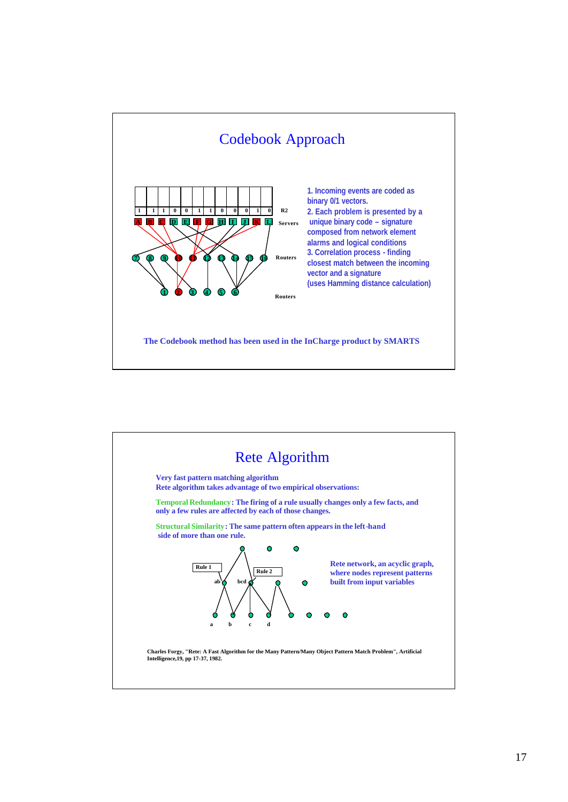

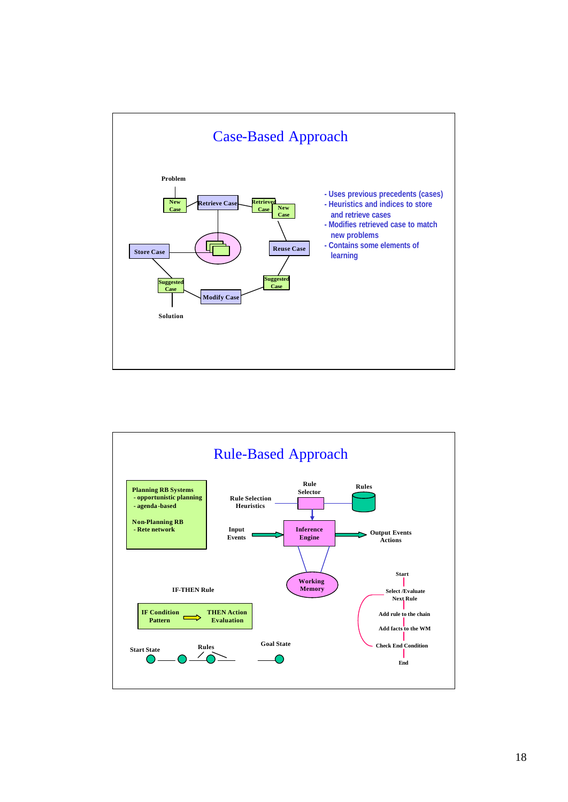

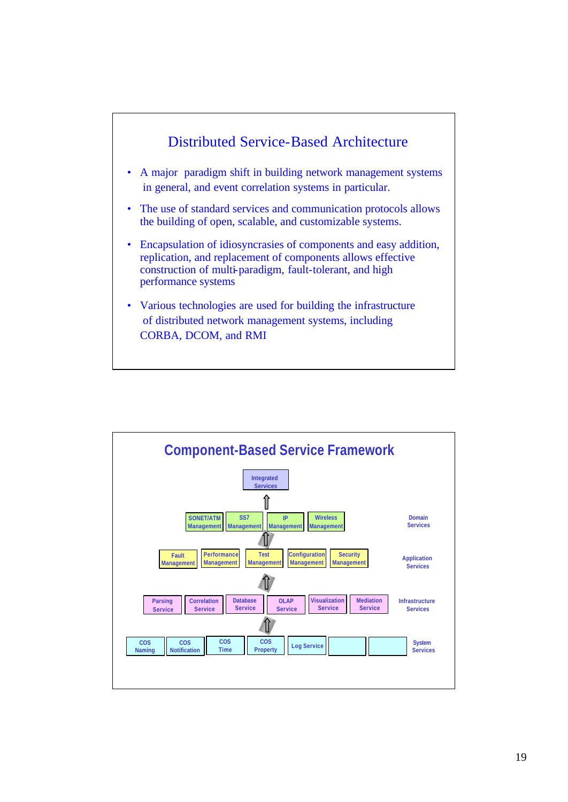

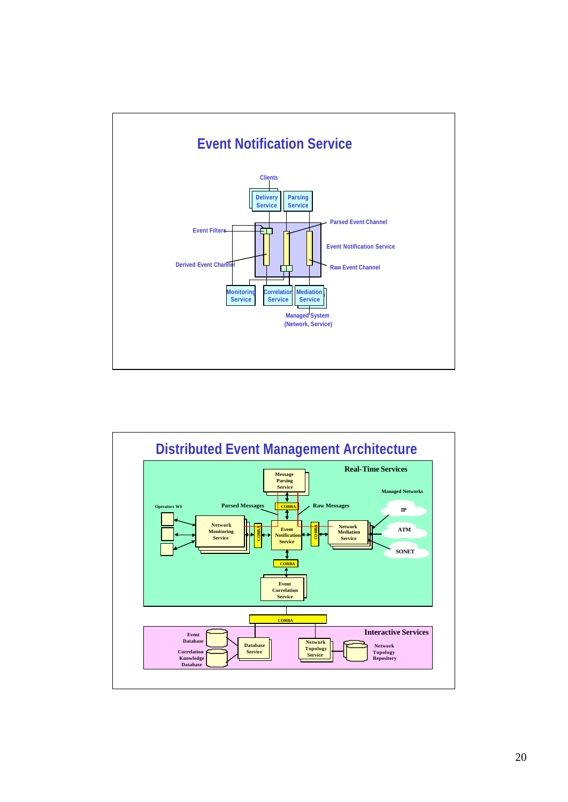

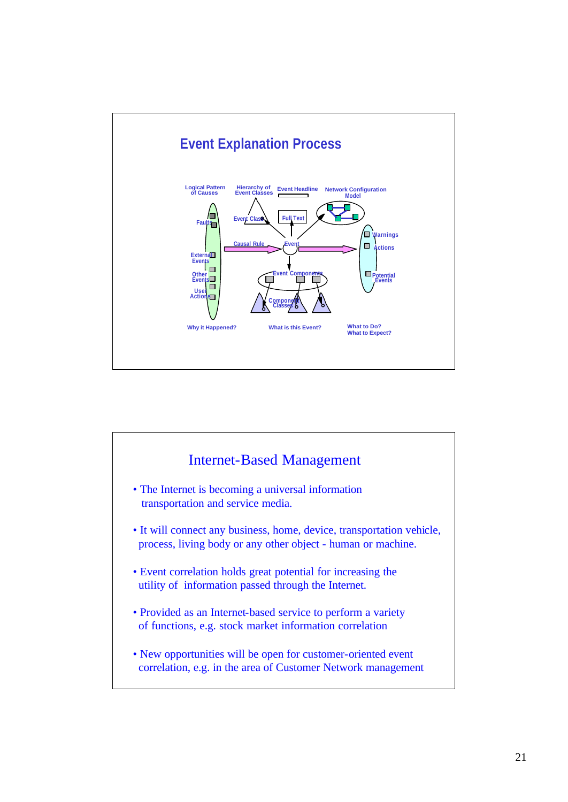

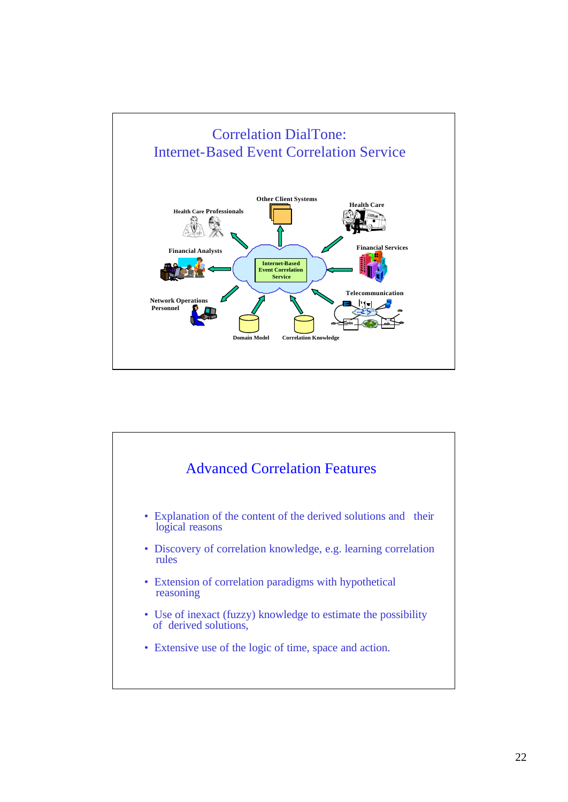